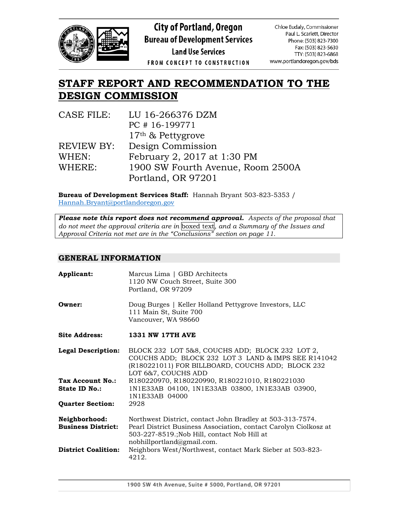

**City of Portland, Oregon Bureau of Development Services** 

**Land Use Services** 

Chloe Eudaly, Commissioner Paul L. Scarlett, Director Phone: (503) 823-7300 Fax: (503) 823-5630 TTY: (503) 823-6868 www.portlandoregon.gov/bds

# FROM CONCEPT TO CONSTRUCTION

# **STAFF REPORT AND RECOMMENDATION TO THE DESIGN COMMISSION**

| CASE FILE: | LU 16-266376 DZM                  |
|------------|-----------------------------------|
|            | PC #16-199771                     |
|            | $17th$ & Pettygrove               |
| REVIEW BY: | Design Commission                 |
| WHEN:      | February 2, 2017 at 1:30 PM       |
| WHERE:     | 1900 SW Fourth Avenue, Room 2500A |
|            | Portland, OR 97201                |

**Bureau of Development Services Staff:** Hannah Bryant 503-823-5353 / [Hannah.Bryant@portlandoregon.gov](mailto:Hannah.Bryant@portlandoregon.gov)

*Please note this report does not recommend approval. Aspects of the proposal that do not meet the approval criteria are in* boxed text*, and a Summary of the Issues and Approval Criteria not met are in the "Conclusions" section on page 11.*

# **GENERAL INFORMATION**

| Applicant:                                 | Marcus Lima   GBD Architects<br>1120 NW Couch Street, Suite 300<br>Portland, OR 97209                                                                                                                       |
|--------------------------------------------|-------------------------------------------------------------------------------------------------------------------------------------------------------------------------------------------------------------|
| Owner:                                     | Doug Burges   Keller Holland Pettygrove Investors, LLC<br>111 Main St, Suite 700<br>Vancouver, WA 98660                                                                                                     |
| <b>Site Address:</b>                       | <b>1331 NW 17TH AVE</b>                                                                                                                                                                                     |
| <b>Legal Description:</b>                  | BLOCK 232 LOT 5&8, COUCHS ADD; BLOCK 232 LOT 2,<br>COUCHS ADD; BLOCK 232 LOT 3 LAND & IMPS SEE R141042<br>(R180221011) FOR BILLBOARD, COUCHS ADD; BLOCK 232<br>LOT 6&7, COUCHS ADD                          |
| Tax Account No.:<br>State ID No.:          | R180220970, R180220990, R180221010, R180221030<br>1N1E33AB 04100, 1N1E33AB 03800, 1N1E33AB 03900,<br>1N1E33AB 04000                                                                                         |
| <b>Quarter Section:</b>                    | 2928                                                                                                                                                                                                        |
| Neighborhood:<br><b>Business District:</b> | Northwest District, contact John Bradley at 503-313-7574.<br>Pearl District Business Association, contact Carolyn Ciolkosz at<br>503-227-8519.; Nob Hill, contact Nob Hill at<br>nobhillportland@gmail.com. |
| <b>District Coalition:</b>                 | Neighbors West/Northwest, contact Mark Sieber at 503-823-<br>4212.                                                                                                                                          |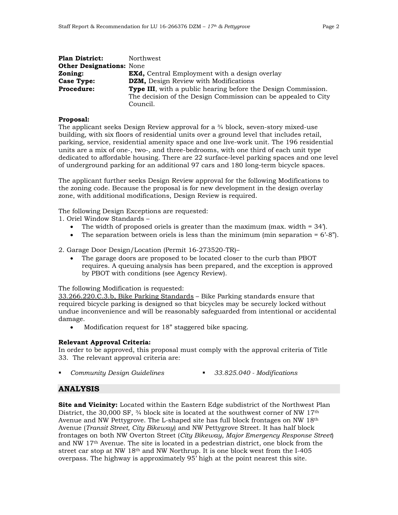| <b>Plan District:</b>           | Northwest                                                             |
|---------------------------------|-----------------------------------------------------------------------|
| <b>Other Designations: None</b> |                                                                       |
| Zoning:                         | <b>EXd,</b> Central Employment with a design overlay                  |
| <b>Case Type:</b>               | DZM, Design Review with Modifications                                 |
| <b>Procedure:</b>               | <b>Type III</b> , with a public hearing before the Design Commission. |
|                                 | The decision of the Design Commission can be appealed to City         |
|                                 | Council.                                                              |

#### **Proposal:**

The applicant seeks Design Review approval for a ¾ block, seven-story mixed-use building, with six floors of residential units over a ground level that includes retail, parking, service, residential amenity space and one live-work unit. The 196 residential units are a mix of one-, two-, and three-bedrooms, with one third of each unit type dedicated to affordable housing. There are 22 surface-level parking spaces and one level of underground parking for an additional 97 cars and 180 long-term bicycle spaces.

The applicant further seeks Design Review approval for the following Modifications to the zoning code. Because the proposal is for new development in the design overlay zone, with additional modifications, Design Review is required.

The following Design Exceptions are requested:

1. Oriel Window Standards –

- The width of proposed oriels is greater than the maximum (max. width  $= 34$ ).
- The separation between oriels is less than the minimum (min separation  $= 6^{\circ}-8^{\circ}$ ).

2. Garage Door Design/Location (Permit 16-273520-TR)–

• The garage doors are proposed to be located closer to the curb than PBOT requires. A queuing analysis has been prepared, and the exception is approved by PBOT with conditions (see Agency Review).

The following Modification is requested:

33.266.220.C.3.b, Bike Parking Standards – Bike Parking standards ensure that required bicycle parking is designed so that bicycles may be securely locked without undue inconvenience and will be reasonably safeguarded from intentional or accidental damage.

• Modification request for 18" staggered bike spacing.

# **Relevant Approval Criteria:**

In order to be approved, this proposal must comply with the approval criteria of Title 33. The relevant approval criteria are:

- *Community Design Guidelines 33.825.040 - Modifications* 
	-

# **ANALYSIS**

**Site and Vicinity:** Located within the Eastern Edge subdistrict of the Northwest Plan District, the 30,000 SF,  $\frac{3}{4}$  block site is located at the southwest corner of NW 17<sup>th</sup> Avenue and NW Pettygrove. The L-shaped site has full block frontages on NW 18th Avenue (*Transit Street, City Bikeway*) and NW Pettygrove Street. It has half block frontages on both NW Overton Street (*City Bikeway, Major Emergency Response Street*) and NW 17th Avenue. The site is located in a pedestrian district, one block from the street car stop at NW 18th and NW Northrup. It is one block west from the I-405 overpass. The highway is approximately 95' high at the point nearest this site.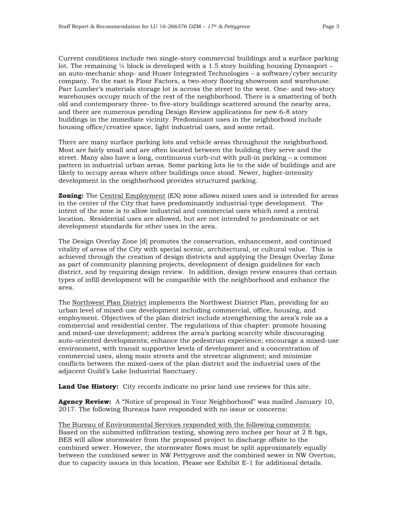Current conditions include two single-story commercial buildings and a surface parking lot. The remaining  $\frac{1}{4}$  block is developed with a 1.5 story building housing Dynasport – an auto-mechanic shop- and Huser Integrated Technologies – a software/cyber security company. To the east is Floor Factors, a two-story flooring showroom and warehouse. Parr Lumber's materials storage lot is across the street to the west. One- and two-story warehouses occupy much of the rest of the neighborhood. There is a smattering of both old and contemporary three- to five-story buildings scattered around the nearby area, and there are numerous pending Design Review applications for new 6-8 story buildings in the immediate vicinity. Predominant uses in the neighborhood include housing office/creative space, light industrial uses, and some retail.

There are many surface parking lots and vehicle areas throughout the neighborhood. Most are fairly small and are often located between the building they serve and the street. Many also have a long, continuous curb-cut with pull-in parking – a common pattern in industrial urban areas. Some parking lots lie to the side of buildings and are likely to occupy areas where other buildings once stood. Newer, higher-intensity development in the neighborhood provides structured parking.

**Zoning:** The Central Employment (EX) zone allows mixed uses and is intended for areas in the center of the City that have predominantly industrial-type development. The intent of the zone is to allow industrial and commercial uses which need a central location. Residential uses are allowed, but are not intended to predominate or set development standards for other uses in the area.

The Design Overlay Zone [d] promotes the conservation, enhancement, and continued vitality of areas of the City with special scenic, architectural, or cultural value. This is achieved through the creation of design districts and applying the Design Overlay Zone as part of community planning projects, development of design guidelines for each district, and by requiring design review. In addition, design review ensures that certain types of infill development will be compatible with the neighborhood and enhance the area.

The Northwest Plan District implements the Northwest District Plan, providing for an urban level of mixed-use development including commercial, office, housing, and employment. Objectives of the plan district include strengthening the area's role as a commercial and residential center. The regulations of this chapter: promote housing and mixed-use development; address the area's parking scarcity while discouraging auto-oriented developments; enhance the pedestrian experience; encourage a mixed-use environment, with transit supportive levels of development and a concentration of commercial uses, along main streets and the streetcar alignment; and minimize conflicts between the mixed-uses of the plan district and the industrial uses of the adjacent Guild's Lake Industrial Sanctuary.

**Land Use History:** City records indicate no prior land use reviews for this site.

**Agency Review:** A "Notice of proposal in Your Neighborhood" was mailed January 10, 2017. The following Bureaus have responded with no issue or concerns:

The Bureau of Environmental Services responded with the following comments: Based on the submitted infiltration testing, showing zero inches per hour at 2 ft bgs, BES will allow stormwater from the proposed project to discharge offsite to the combined sewer. However, the stormwater flows must be split approximately equally between the combined sewer in NW Pettygrove and the combined sewer in NW Overton, due to capacity issues in this location. Please see Exhibit E-1 for additional details.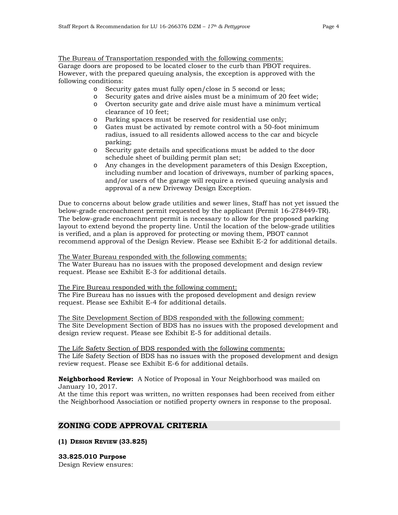The Bureau of Transportation responded with the following comments: Garage doors are proposed to be located closer to the curb than PBOT requires. However, with the prepared queuing analysis, the exception is approved with the following conditions:

- o Security gates must fully open/close in 5 second or less;
- o Security gates and drive aisles must be a minimum of 20 feet wide;
- o Overton security gate and drive aisle must have a minimum vertical clearance of 10 feet;
- o Parking spaces must be reserved for residential use only;
- o Gates must be activated by remote control with a 50-foot minimum radius, issued to all residents allowed access to the car and bicycle parking;
- o Security gate details and specifications must be added to the door schedule sheet of building permit plan set;
- o Any changes in the development parameters of this Design Exception, including number and location of driveways, number of parking spaces, and/or users of the garage will require a revised queuing analysis and approval of a new Driveway Design Exception.

Due to concerns about below grade utilities and sewer lines, Staff has not yet issued the below-grade encroachment permit requested by the applicant (Permit 16-278449-TR). The below-grade encroachment permit is necessary to allow for the proposed parking layout to extend beyond the property line. Until the location of the below-grade utilities is verified, and a plan is approved for protecting or moving them, PBOT cannot recommend approval of the Design Review. Please see Exhibit E-2 for additional details.

The Water Bureau responded with the following comments:

The Water Bureau has no issues with the proposed development and design review request. Please see Exhibit E-3 for additional details.

The Fire Bureau responded with the following comment:

The Fire Bureau has no issues with the proposed development and design review request. Please see Exhibit E-4 for additional details.

The Site Development Section of BDS responded with the following comment: The Site Development Section of BDS has no issues with the proposed development and design review request. Please see Exhibit E-5 for additional details.

The Life Safety Section of BDS responded with the following comments: The Life Safety Section of BDS has no issues with the proposed development and design review request. Please see Exhibit E-6 for additional details.

**Neighborhood Review:** A Notice of Proposal in Your Neighborhood was mailed on January 10, 2017.

At the time this report was written, no written responses had been received from either the Neighborhood Association or notified property owners in response to the proposal.

# **ZONING CODE APPROVAL CRITERIA**

**(1) DESIGN REVIEW (33.825)**

**33.825.010 Purpose** Design Review ensures: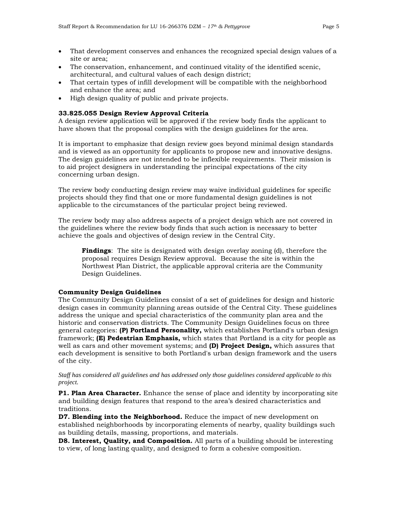- That development conserves and enhances the recognized special design values of a site or area;
- The conservation, enhancement, and continued vitality of the identified scenic, architectural, and cultural values of each design district;
- That certain types of infill development will be compatible with the neighborhood and enhance the area; and
- High design quality of public and private projects.

## **33.825.055 Design Review Approval Criteria**

A design review application will be approved if the review body finds the applicant to have shown that the proposal complies with the design guidelines for the area.

It is important to emphasize that design review goes beyond minimal design standards and is viewed as an opportunity for applicants to propose new and innovative designs. The design guidelines are not intended to be inflexible requirements. Their mission is to aid project designers in understanding the principal expectations of the city concerning urban design.

The review body conducting design review may waive individual guidelines for specific projects should they find that one or more fundamental design guidelines is not applicable to the circumstances of the particular project being reviewed.

The review body may also address aspects of a project design which are not covered in the guidelines where the review body finds that such action is necessary to better achieve the goals and objectives of design review in the Central City.

**Findings**: The site is designated with design overlay zoning (d), therefore the proposal requires Design Review approval. Because the site is within the Northwest Plan District, the applicable approval criteria are the Community Design Guidelines.

## **Community Design Guidelines**

The Community Design Guidelines consist of a set of guidelines for design and historic design cases in community planning areas outside of the Central City. These guidelines address the unique and special characteristics of the community plan area and the historic and conservation districts. The Community Design Guidelines focus on three general categories: **(P) Portland Personality,** which establishes Portland's urban design framework; **(E) Pedestrian Emphasis,** which states that Portland is a city for people as well as cars and other movement systems; and **(D) Project Design,** which assures that each development is sensitive to both Portland's urban design framework and the users of the city.

#### *Staff has considered all guidelines and has addressed only those guidelines considered applicable to this project.*

**P1. Plan Area Character.** Enhance the sense of place and identity by incorporating site and building design features that respond to the area's desired characteristics and traditions.

**D7. Blending into the Neighborhood.** Reduce the impact of new development on established neighborhoods by incorporating elements of nearby, quality buildings such as building details, massing, proportions, and materials.

**D8. Interest, Quality, and Composition.** All parts of a building should be interesting to view, of long lasting quality, and designed to form a cohesive composition.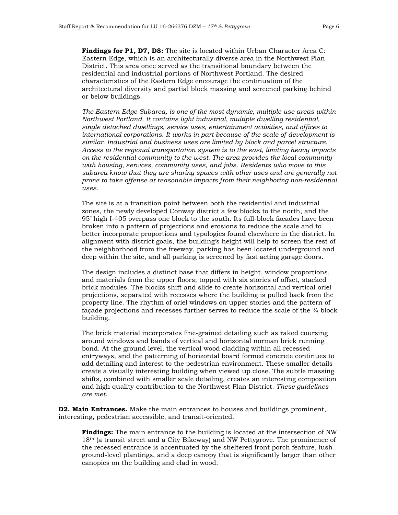**Findings for P1, D7, D8:** The site is located within Urban Character Area C: Eastern Edge, which is an architecturally diverse area in the Northwest Plan District. This area once served as the transitional boundary between the residential and industrial portions of Northwest Portland. The desired characteristics of the Eastern Edge encourage the continuation of the architectural diversity and partial block massing and screened parking behind or below buildings.

*The Eastern Edge Subarea, is one of the most dynamic, multiple-use areas within Northwest Portland. It contains light industrial, multiple dwelling residential, single detached dwellings, service uses, entertainment activities, and offices to international corporations. It works in part because of the scale of development is similar. Industrial and business uses are limited by block and parcel structure. Access to the regional transportation system is to the east, limiting heavy impacts on the residential community to the west. The area provides the local community with housing, services, community uses, and jobs. Residents who move to this subarea know that they are sharing spaces with other uses and are generally not prone to take offense at reasonable impacts from their neighboring non-residential uses.*

The site is at a transition point between both the residential and industrial zones, the newly developed Conway district a few blocks to the north, and the 95' high I-405 overpass one block to the south. Its full-block facades have been broken into a pattern of projections and erosions to reduce the scale and to better incorporate proportions and typologies found elsewhere in the district. In alignment with district goals, the building's height will help to screen the rest of the neighborhood from the freeway, parking has been located underground and deep within the site, and all parking is screened by fast acting garage doors.

The design includes a distinct base that differs in height, window proportions, and materials from the upper floors; topped with six stories of offset, stacked brick modules. The blocks shift and slide to create horizontal and vertical oriel projections, separated with recesses where the building is pulled back from the property line. The rhythm of oriel windows on upper stories and the pattern of façade projections and recesses further serves to reduce the scale of the ¾ block building.

The brick material incorporates fine-grained detailing such as raked coursing around windows and bands of vertical and horizontal norman brick running bond. At the ground level, the vertical wood cladding within all recessed entryways, and the patterning of horizontal board formed concrete continues to add detailing and interest to the pedestrian environment. These smaller details create a visually interesting building when viewed up close. The subtle massing shifts, combined with smaller scale detailing, creates an interesting composition and high quality contribution to the Northwest Plan District. *These guidelines are met.*

**D2. Main Entrances.** Make the main entrances to houses and buildings prominent, interesting, pedestrian accessible, and transit-oriented.

**Findings:** The main entrance to the building is located at the intersection of NW 18th (a transit street and a City Bikeway) and NW Pettygrove. The prominence of the recessed entrance is accentuated by the sheltered front porch feature, lush ground-level plantings, and a deep canopy that is significantly larger than other canopies on the building and clad in wood.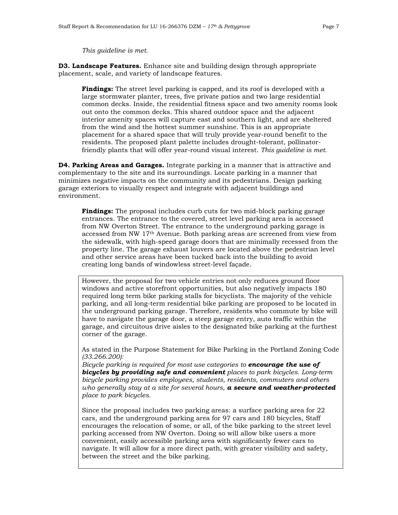*This guideline is met.*

**D3. Landscape Features.** Enhance site and building design through appropriate placement, scale, and variety of landscape features.

**Findings:** The street level parking is capped, and its roof is developed with a large stormwater planter, trees, five private patios and two large residential common decks. Inside, the residential fitness space and two amenity rooms look out onto the common decks. This shared outdoor space and the adjacent interior amenity spaces will capture east and southern light, and are sheltered from the wind and the hottest summer sunshine. This is an appropriate placement for a shared space that will truly provide year-round benefit to the residents. The proposed plant palette includes drought-tolerant, pollinatorfriendly plants that will offer year-round visual interest. *This guideline is met.*

**D4. Parking Areas and Garages.** Integrate parking in a manner that is attractive and complementary to the site and its surroundings. Locate parking in a manner that minimizes negative impacts on the community and its pedestrians. Design parking garage exteriors to visually respect and integrate with adjacent buildings and environment.

**Findings:** The proposal includes curb cuts for two mid-block parking garage entrances. The entrance to the covered, street level parking area is accessed from NW Overton Street. The entrance to the underground parking garage is accessed from NW 17th Avenue. Both parking areas are screened from view from the sidewalk, with high-speed garage doors that are minimally recessed from the property line. The garage exhaust louvers are located above the pedestrian level and other service areas have been tucked back into the building to avoid creating long bands of windowless street-level façade.

However, the proposal for two vehicle entries not only reduces ground floor windows and active storefront opportunities, but also negatively impacts 180 required long term bike parking stalls for bicyclists. The majority of the vehicle parking, and all long-term residential bike parking are proposed to be located in the underground parking garage. Therefore, residents who commute by bike will have to navigate the garage door, a steep garage entry, auto traffic within the garage, and circuitous drive aisles to the designated bike parking at the furthest corner of the garage.

As stated in the Purpose Statement for Bike Parking in the Portland Zoning Code *(33.266.200):*

*Bicycle parking is required for most use categories to encourage the use of bicycles by providing safe and convenient places to park bicycles. Long-term bicycle parking provides employees, students, residents, commuters and others who generally stay at a site for several hours, a secure and weather-protected place to park bicycles.* 

Since the proposal includes two parking areas: a surface parking area for 22 cars, and the underground parking area for 97 cars and 180 bicycles, Staff encourages the relocation of some, or all, of the bike parking to the street level parking accessed from NW Overton. Doing so will allow bike users a more convenient, easily accessible parking area with significantly fewer cars to navigate. It will allow for a more direct path, with greater visibility and safety, between the street and the bike parking.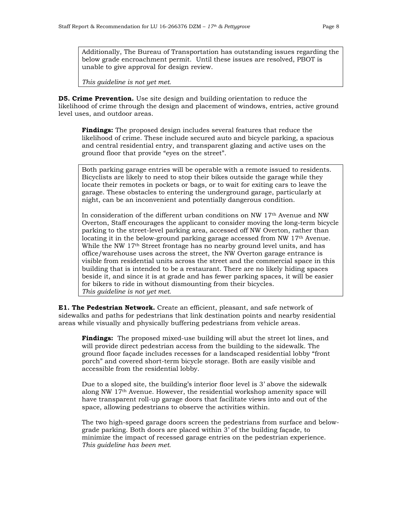Additionally, The Bureau of Transportation has outstanding issues regarding the below grade encroachment permit. Until these issues are resolved, PBOT is unable to give approval for design review.

*This guideline is not yet met.*

**D5. Crime Prevention.** Use site design and building orientation to reduce the likelihood of crime through the design and placement of windows, entries, active ground level uses, and outdoor areas.

**Findings:** The proposed design includes several features that reduce the likelihood of crime. These include secured auto and bicycle parking, a spacious and central residential entry, and transparent glazing and active uses on the ground floor that provide "eyes on the street".

Both parking garage entries will be operable with a remote issued to residents. Bicyclists are likely to need to stop their bikes outside the garage while they locate their remotes in pockets or bags, or to wait for exiting cars to leave the garage. These obstacles to entering the underground garage, particularly at night, can be an inconvenient and potentially dangerous condition.

In consideration of the different urban conditions on NW 17th Avenue and NW Overton, Staff encourages the applicant to consider moving the long-term bicycle parking to the street-level parking area, accessed off NW Overton, rather than locating it in the below-ground parking garage accessed from NW 17th Avenue. While the NW  $17<sup>th</sup>$  Street frontage has no nearby ground level units, and has office/warehouse uses across the street, the NW Overton garage entrance is visible from residential units across the street and the commercial space in this building that is intended to be a restaurant. There are no likely hiding spaces beside it, and since it is at grade and has fewer parking spaces, it will be easier for bikers to ride in without dismounting from their bicycles. *This guideline is not yet met.*

**E1. The Pedestrian Network.** Create an efficient, pleasant, and safe network of sidewalks and paths for pedestrians that link destination points and nearby residential areas while visually and physically buffering pedestrians from vehicle areas.

**Findings:** The proposed mixed-use building will abut the street lot lines, and will provide direct pedestrian access from the building to the sidewalk. The ground floor façade includes recesses for a landscaped residential lobby "front porch" and covered short-term bicycle storage. Both are easily visible and accessible from the residential lobby.

Due to a sloped site, the building's interior floor level is 3' above the sidewalk along NW 17th Avenue. However, the residential workshop amenity space will have transparent roll-up garage doors that facilitate views into and out of the space, allowing pedestrians to observe the activities within.

The two high-speed garage doors screen the pedestrians from surface and belowgrade parking. Both doors are placed within 3' of the building façade, to minimize the impact of recessed garage entries on the pedestrian experience. *This guideline has been met.*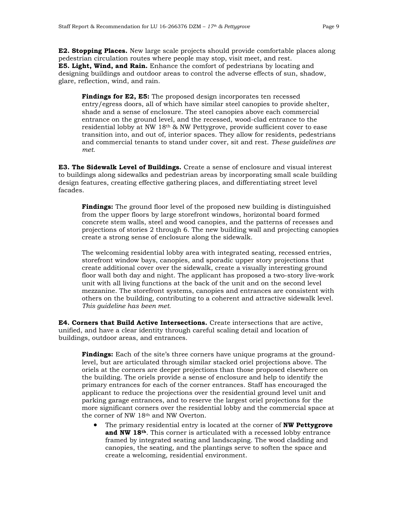**E2. Stopping Places.** New large scale projects should provide comfortable places along pedestrian circulation routes where people may stop, visit meet, and rest. **E5. Light, Wind, and Rain.** Enhance the comfort of pedestrians by locating and designing buildings and outdoor areas to control the adverse effects of sun, shadow, glare, reflection, wind, and rain.

Findings for E2, E5: The proposed design incorporates ten recessed entry/egress doors, all of which have similar steel canopies to provide shelter, shade and a sense of enclosure. The steel canopies above each commercial entrance on the ground level, and the recessed, wood-clad entrance to the residential lobby at NW 18th & NW Pettygrove, provide sufficient cover to ease transition into, and out of, interior spaces. They allow for residents, pedestrians and commercial tenants to stand under cover, sit and rest. *These guidelines are met.*

**E3. The Sidewalk Level of Buildings.** Create a sense of enclosure and visual interest to buildings along sidewalks and pedestrian areas by incorporating small scale building design features, creating effective gathering places, and differentiating street level facades.

**Findings:** The ground floor level of the proposed new building is distinguished from the upper floors by large storefront windows, horizontal board formed concrete stem walls, steel and wood canopies, and the patterns of recesses and projections of stories 2 through 6. The new building wall and projecting canopies create a strong sense of enclosure along the sidewalk.

The welcoming residential lobby area with integrated seating, recessed entries, storefront window bays, canopies, and sporadic upper story projections that create additional cover over the sidewalk, create a visually interesting ground floor wall both day and night. The applicant has proposed a two-story live-work unit with all living functions at the back of the unit and on the second level mezzanine. The storefront systems, canopies and entrances are consistent with others on the building, contributing to a coherent and attractive sidewalk level. *This guideline has been met.* 

**E4. Corners that Build Active Intersections.** Create intersections that are active, unified, and have a clear identity through careful scaling detail and location of buildings, outdoor areas, and entrances.

**Findings:** Each of the site's three corners have unique programs at the groundlevel, but are articulated through similar stacked oriel projections above. The oriels at the corners are deeper projections than those proposed elsewhere on the building. The oriels provide a sense of enclosure and help to identify the primary entrances for each of the corner entrances. Staff has encouraged the applicant to reduce the projections over the residential ground level unit and parking garage entrances, and to reserve the largest oriel projections for the more significant corners over the residential lobby and the commercial space at the corner of NW 18th and NW Overton.

• The primary residential entry is located at the corner of **NW Pettygrove and NW 18th**. This corner is articulated with a recessed lobby entrance framed by integrated seating and landscaping. The wood cladding and canopies, the seating, and the plantings serve to soften the space and create a welcoming, residential environment.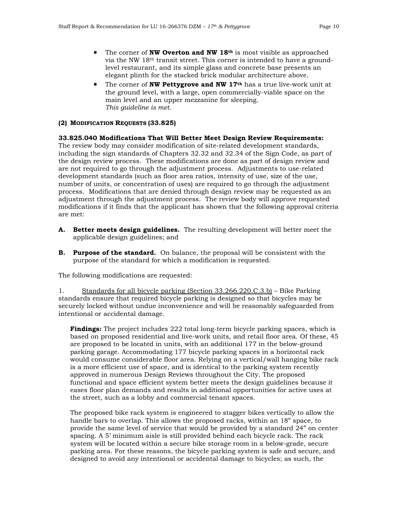- The corner of **NW Overton and NW 18th** is most visible as approached via the NW 18th transit street. This corner is intended to have a groundlevel restaurant, and its simple glass and concrete base presents an elegant plinth for the stacked brick modular architecture above.
- The corner of **NW Pettygrove and NW 17th** has a true live-work unit at the ground level, with a large, open commercially-viable space on the main level and an upper mezzanine for sleeping. *This guideline is met.*

#### **(2) MODIFICATION REQUESTS (33.825)**

## **33.825.040 Modifications That Will Better Meet Design Review Requirements:**

The review body may consider modification of site-related development standards, including the sign standards of Chapters 32.32 and 32.34 of the Sign Code, as part of the design review process. These modifications are done as part of design review and are not required to go through the adjustment process. Adjustments to use-related development standards (such as floor area ratios, intensity of use, size of the use, number of units, or concentration of uses) are required to go through the adjustment process. Modifications that are denied through design review may be requested as an adjustment through the adjustment process. The review body will approve requested modifications if it finds that the applicant has shown that the following approval criteria are met:

- **A. Better meets design guidelines.** The resulting development will better meet the applicable design guidelines; and
- **B. Purpose of the standard.** On balance, the proposal will be consistent with the purpose of the standard for which a modification is requested.

The following modifications are requested:

1. Standards for all bicycle parking (Section 33.266.220.C.3.b) – Bike Parking standards ensure that required bicycle parking is designed so that bicycles may be securely locked without undue inconvenience and will be reasonably safeguarded from intentional or accidental damage.

**Findings:** The project includes 222 total long-term bicycle parking spaces, which is based on proposed residential and live-work units, and retail floor area. Of these, 45 are proposed to be located in units, with an additional 177 in the below-ground parking garage. Accommodating 177 bicycle parking spaces in a horizontal rack would consume considerable floor area. Relying on a vertical/wall hanging bike rack is a more efficient use of space, and is identical to the parking system recently approved in numerous Design Reviews throughout the City. The proposed functional and space efficient system better meets the design guidelines because it eases floor plan demands and results in additional opportunities for active uses at the street, such as a lobby and commercial tenant spaces.

The proposed bike rack system is engineered to stagger bikes vertically to allow the handle bars to overlap. This allows the proposed racks, within an 18" space, to provide the same level of service that would be provided by a standard 24" on center spacing. A 5' minimum aisle is still provided behind each bicycle rack. The rack system will be located within a secure bike storage room in a below-grade, secure parking area. For these reasons, the bicycle parking system is safe and secure, and designed to avoid any intentional or accidental damage to bicycles; as such, the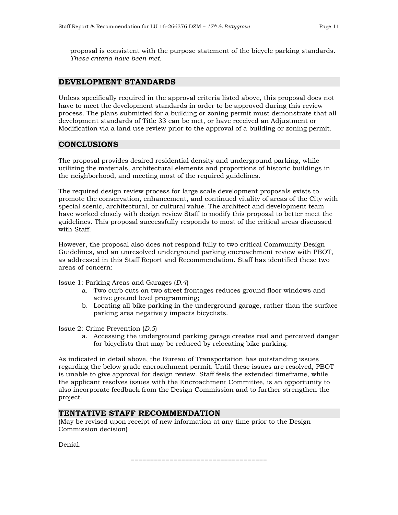proposal is consistent with the purpose statement of the bicycle parking standards. *These criteria have been met.*

## **DEVELOPMENT STANDARDS**

Unless specifically required in the approval criteria listed above, this proposal does not have to meet the development standards in order to be approved during this review process. The plans submitted for a building or zoning permit must demonstrate that all development standards of Title 33 can be met, or have received an Adjustment or Modification via a land use review prior to the approval of a building or zoning permit.

## **CONCLUSIONS**

The proposal provides desired residential density and underground parking, while utilizing the materials, architectural elements and proportions of historic buildings in the neighborhood, and meeting most of the required guidelines.

The required design review process for large scale development proposals exists to promote the conservation, enhancement, and continued vitality of areas of the City with special scenic, architectural, or cultural value. The architect and development team have worked closely with design review Staff to modify this proposal to better meet the guidelines. This proposal successfully responds to most of the critical areas discussed with Staff.

However, the proposal also does not respond fully to two critical Community Design Guidelines, and an unresolved underground parking encroachment review with PBOT, as addressed in this Staff Report and Recommendation. Staff has identified these two areas of concern:

Issue 1: Parking Areas and Garages (*D.4*)

- a. Two curb cuts on two street frontages reduces ground floor windows and active ground level programming;
- b. Locating all bike parking in the underground garage, rather than the surface parking area negatively impacts bicyclists.

Issue 2: Crime Prevention (*D.5*)

a. Accessing the underground parking garage creates real and perceived danger for bicyclists that may be reduced by relocating bike parking.

As indicated in detail above, the Bureau of Transportation has outstanding issues regarding the below grade encroachment permit. Until these issues are resolved, PBOT is unable to give approval for design review. Staff feels the extended timeframe, while the applicant resolves issues with the Encroachment Committee, is an opportunity to also incorporate feedback from the Design Commission and to further strengthen the project.

# **TENTATIVE STAFF RECOMMENDATION**

(May be revised upon receipt of new information at any time prior to the Design Commission decision)

Denial.

===================================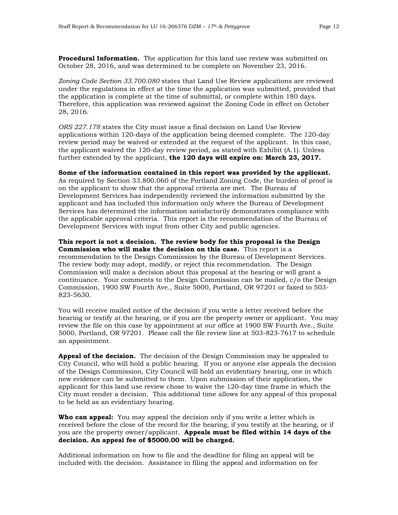**Procedural Information.** The application for this land use review was submitted on October 28, 2016, and was determined to be complete on November 23, 2016.

*Zoning Code Section 33.700.080* states that Land Use Review applications are reviewed under the regulations in effect at the time the application was submitted, provided that the application is complete at the time of submittal, or complete within 180 days. Therefore, this application was reviewed against the Zoning Code in effect on October 28, 2016.

*ORS 227.178* states the City must issue a final decision on Land Use Review applications within 120-days of the application being deemed complete. The 120-day review period may be waived or extended at the request of the applicant. In this case, the applicant waived the 120-day review period, as stated with Exhibit (A.1). Unless further extended by the applicant, **the 120 days will expire on: March 23, 2017.**

**Some of the information contained in this report was provided by the applicant.** As required by Section 33.800.060 of the Portland Zoning Code, the burden of proof is on the applicant to show that the approval criteria are met. The Bureau of Development Services has independently reviewed the information submitted by the applicant and has included this information only where the Bureau of Development Services has determined the information satisfactorily demonstrates compliance with the applicable approval criteria. This report is the recommendation of the Bureau of Development Services with input from other City and public agencies.

**This report is not a decision. The review body for this proposal is the Design Commission who will make the decision on this case.** This report is a recommendation to the Design Commission by the Bureau of Development Services. The review body may adopt, modify, or reject this recommendation. The Design Commission will make a decision about this proposal at the hearing or will grant a continuance. Your comments to the Design Commission can be mailed, c/o the Design Commission, 1900 SW Fourth Ave., Suite 5000, Portland, OR 97201 or faxed to 503- 823-5630.

You will receive mailed notice of the decision if you write a letter received before the hearing or testify at the hearing, or if you are the property owner or applicant. You may review the file on this case by appointment at our office at 1900 SW Fourth Ave., Suite 5000, Portland, OR 97201. Please call the file review line at 503-823-7617 to schedule an appointment.

**Appeal of the decision.** The decision of the Design Commission may be appealed to City Council, who will hold a public hearing. If you or anyone else appeals the decision of the Design Commission, City Council will hold an evidentiary hearing, one in which new evidence can be submitted to them. Upon submission of their application, the applicant for this land use review chose to waive the 120-day time frame in which the City must render a decision. This additional time allows for any appeal of this proposal to be held as an evidentiary hearing.

**Who can appeal:** You may appeal the decision only if you write a letter which is received before the close of the record for the hearing, if you testify at the hearing, or if you are the property owner/applicant. **Appeals must be filed within 14 days of the decision. An appeal fee of \$5000.00 will be charged.**

Additional information on how to file and the deadline for filing an appeal will be included with the decision. Assistance in filing the appeal and information on fee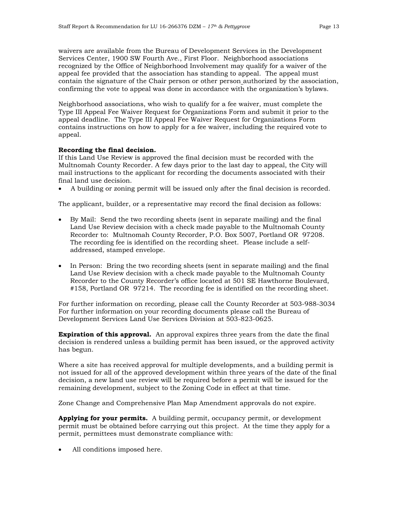waivers are available from the Bureau of Development Services in the Development Services Center, 1900 SW Fourth Ave., First Floor. Neighborhood associations recognized by the Office of Neighborhood Involvement may qualify for a waiver of the appeal fee provided that the association has standing to appeal. The appeal must contain the signature of the Chair person or other person authorized by the association, confirming the vote to appeal was done in accordance with the organization's bylaws.

Neighborhood associations, who wish to qualify for a fee waiver, must complete the Type III Appeal Fee Waiver Request for Organizations Form and submit it prior to the appeal deadline. The Type III Appeal Fee Waiver Request for Organizations Form contains instructions on how to apply for a fee waiver, including the required vote to appeal.

#### **Recording the final decision.**

If this Land Use Review is approved the final decision must be recorded with the Multnomah County Recorder. A few days prior to the last day to appeal, the City will mail instructions to the applicant for recording the documents associated with their final land use decision.

• A building or zoning permit will be issued only after the final decision is recorded.

The applicant, builder, or a representative may record the final decision as follows:

- By Mail: Send the two recording sheets (sent in separate mailing) and the final Land Use Review decision with a check made payable to the Multnomah County Recorder to: Multnomah County Recorder, P.O. Box 5007, Portland OR 97208. The recording fee is identified on the recording sheet. Please include a selfaddressed, stamped envelope.
- In Person: Bring the two recording sheets (sent in separate mailing) and the final Land Use Review decision with a check made payable to the Multnomah County Recorder to the County Recorder's office located at 501 SE Hawthorne Boulevard, #158, Portland OR 97214. The recording fee is identified on the recording sheet.

For further information on recording, please call the County Recorder at 503-988-3034 For further information on your recording documents please call the Bureau of Development Services Land Use Services Division at 503-823-0625.

**Expiration of this approval.** An approval expires three years from the date the final decision is rendered unless a building permit has been issued, or the approved activity has begun.

Where a site has received approval for multiple developments, and a building permit is not issued for all of the approved development within three years of the date of the final decision, a new land use review will be required before a permit will be issued for the remaining development, subject to the Zoning Code in effect at that time.

Zone Change and Comprehensive Plan Map Amendment approvals do not expire.

**Applying for your permits.** A building permit, occupancy permit, or development permit must be obtained before carrying out this project. At the time they apply for a permit, permittees must demonstrate compliance with:

All conditions imposed here.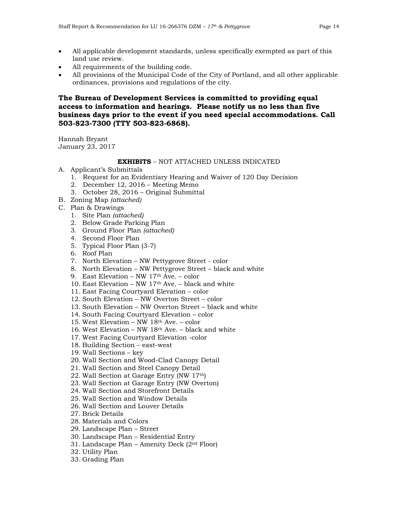- All applicable development standards, unless specifically exempted as part of this land use review.
- All requirements of the building code.
- All provisions of the Municipal Code of the City of Portland, and all other applicable ordinances, provisions and regulations of the city.

# **The Bureau of Development Services is committed to providing equal access to information and hearings. Please notify us no less than five business days prior to the event if you need special accommodations. Call 503-823-7300 (TTY 503-823-6868).**

Hannah Bryant January 23, 2017

# **EXHIBITS** – NOT ATTACHED UNLESS INDICATED

- A. Applicant's Submittals
	- 1. Request for an Evidentiary Hearing and Waiver of 120 Day Decision
	- 2. December 12, 2016 Meeting Memo
	- 3. October 28, 2016 Original Submittal
- B. Zoning Map *(attached)*
- C. Plan & Drawings
	- 1. Site Plan *(attached)*
	- 2. Below Grade Parking Plan
	- 3. Ground Floor Plan *(attached)*
	- 4. Second Floor Plan
	- 5. Typical Floor Plan (3-7)
	- 6. Roof Plan
	- 7. North Elevation NW Pettygrove Street color
	- 8. North Elevation NW Pettygrove Street black and white
	- 9. East Elevation NW 17th Ave. color
	- 10. East Elevation NW 17th Ave. black and white
	- 11. East Facing Courtyard Elevation color
	- 12. South Elevation NW Overton Street color
	- 13. South Elevation NW Overton Street black and white
	- 14. South Facing Courtyard Elevation color
	- 15. West Elevation NW 18th Ave. color
	- 16. West Elevation NW 18th Ave. black and white
	- 17. West Facing Courtyard Elevation -color
	- 18. Building Section east-west
	- 19. Wall Sections key
	- 20. Wall Section and Wood-Clad Canopy Detail
	- 21. Wall Section and Steel Canopy Detail
	- 22. Wall Section at Garage Entry (NW 17th)
	- 23. Wall Section at Garage Entry (NW Overton)
	- 24. Wall Section and Storefront Details
	- 25. Wall Section and Window Details
	- 26. Wall Section and Louver Details
	- 27. Brick Details
	- 28. Materials and Colors
	- 29. Landscape Plan Street
	- 30. Landscape Plan Residential Entry
	- 31. Landscape Plan Amenity Deck (2nd Floor)
	- 32. Utility Plan
	- 33. Grading Plan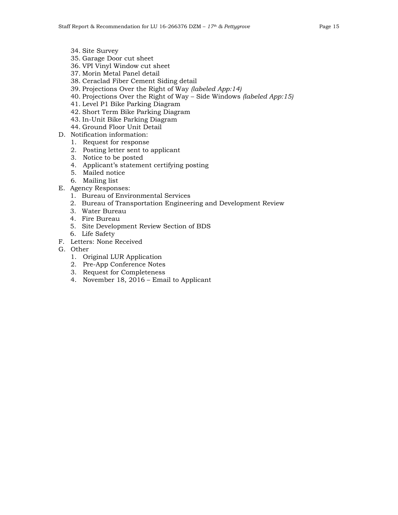- 34. Site Survey
- 35. Garage Door cut sheet
- 36. VPI Vinyl Window cut sheet
- 37. Morin Metal Panel detail
- 38. Ceraclad Fiber Cement Siding detail
- 39. Projections Over the Right of Way *(labeled App:14)*
- 40. Projections Over the Right of Way Side Windows *(labeled App:15)*
- 41. Level P1 Bike Parking Diagram
- 42. Short Term Bike Parking Diagram
- 43. In-Unit Bike Parking Diagram
- 44. Ground Floor Unit Detail
- D. Notification information:
	- 1. Request for response
	- 2. Posting letter sent to applicant
	- 3. Notice to be posted
	- 4. Applicant's statement certifying posting
	- 5. Mailed notice
	- 6. Mailing list
- E. Agency Responses:
	- 1. Bureau of Environmental Services
	- 2. Bureau of Transportation Engineering and Development Review
	- 3. Water Bureau
	- 4. Fire Bureau
	- 5. Site Development Review Section of BDS
	- 6. Life Safety
- F. Letters: None Received
- G. Other
	- 1. Original LUR Application
	- 2. Pre-App Conference Notes
	- 3. Request for Completeness
	- 4. November 18, 2016 Email to Applicant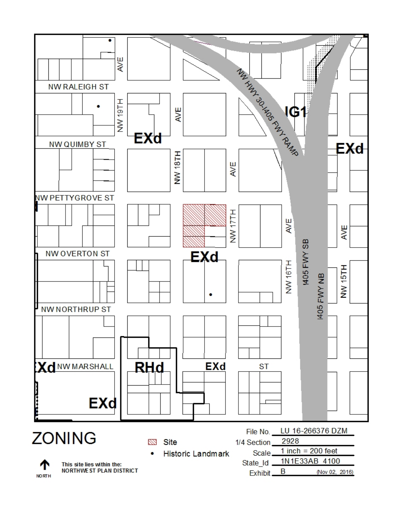



This site lies within the: **NORTHWE ST PLAN DISTRICT**  State Id B (Nov 02, 2016) Exhibit.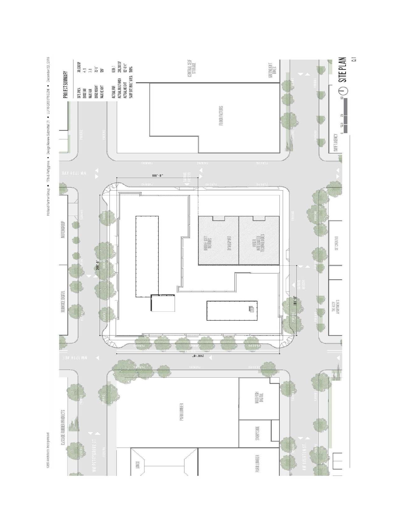

Holand Partier Group . This Pettygrove . Design Review Submitted C1 . LU 16-266376 DZM . December 22, 2016

GBD Architects Incorporated